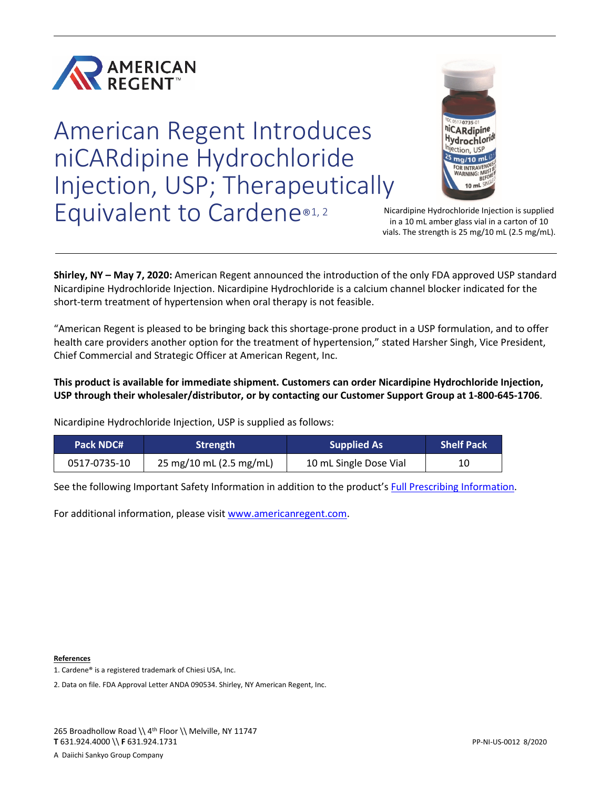

American Regent Introduces niCARdipine Hydrochloride Injection, USP; Therapeutically Equivalent to Cardene®1,2



Nicardipine Hydrochloride Injection is supplied in a 10 mL amber glass vial in a carton of 10 vials. The strength is 25 mg/10 mL (2.5 mg/mL).

**Shirley, NY – May 7, 2020:** American Regent announced the introduction of the only FDA approved USP standard Nicardipine Hydrochloride Injection. Nicardipine Hydrochloride is a calcium channel blocker indicated for the short-term treatment of hypertension when oral therapy is not feasible.

"American Regent is pleased to be bringing back this shortage-prone product in a USP formulation, and to offer health care providers another option for the treatment of hypertension," stated Harsher Singh, Vice President, Chief Commercial and Strategic Officer at American Regent, Inc.

**This product is available for immediate shipment. Customers can order Nicardipine Hydrochloride Injection, USP through their wholesaler/distributor, or by contacting our Customer Support Group at 1-800-645-1706**.

Nicardipine Hydrochloride Injection, USP is supplied as follows:

| Pack NDC#    | Strength                | <b>Supplied As</b>     | <b>Shelf Pack</b> |
|--------------|-------------------------|------------------------|-------------------|
| 0517-0735-10 | 25 mg/10 mL (2.5 mg/mL) | 10 mL Single Dose Vial | 10                |

See the following Important Safety Information in addition to the product'[s Full Prescribing Information.](https://americanregent.com/media/2888/nicardipine_pi-insert_rev-mar2020_21apr2020.pdf)

For additional information, please visit [www.americanregent.com.](https://www.americanregent.com/)

**References**

2. Data on file. FDA Approval Letter ANDA 090534. Shirley, NY American Regent, Inc.

<sup>1.</sup> Cardene® is a registered trademark of Chiesi USA, Inc.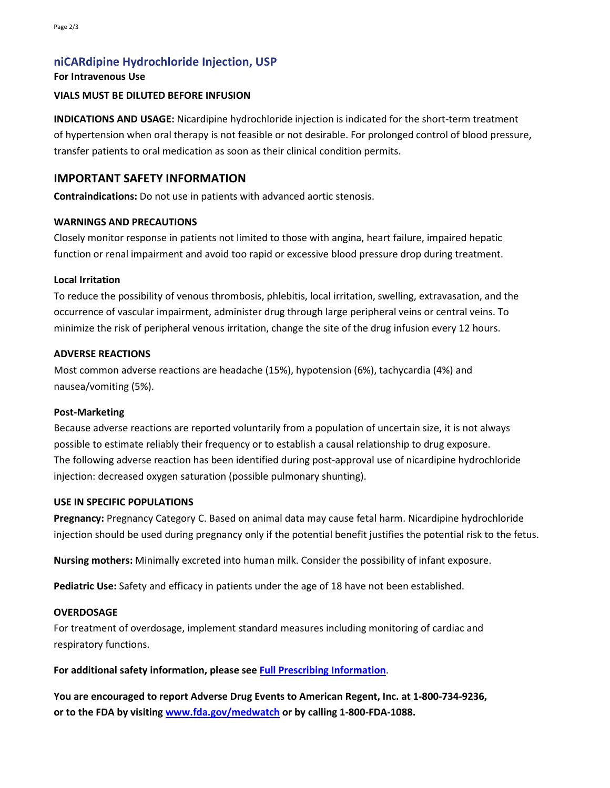# **niCARdipine Hydrochloride Injection, USP**

#### **For Intravenous Use**

#### **VIALS MUST BE DILUTED BEFORE INFUSION**

**INDICATIONS AND USAGE:** Nicardipine hydrochloride injection is indicated for the short-term treatment of hypertension when oral therapy is not feasible or not desirable. For prolonged control of blood pressure, transfer patients to oral medication as soon as their clinical condition permits.

## **IMPORTANT SAFETY INFORMATION**

**Contraindications:** Do not use in patients with advanced aortic stenosis.

#### **WARNINGS AND PRECAUTIONS**

Closely monitor response in patients not limited to those with angina, heart failure, impaired hepatic function or renal impairment and avoid too rapid or excessive blood pressure drop during treatment.

#### **Local Irritation**

To reduce the possibility of venous thrombosis, phlebitis, local irritation, swelling, extravasation, and the occurrence of vascular impairment, administer drug through large peripheral veins or central veins. To minimize the risk of peripheral venous irritation, change the site of the drug infusion every 12 hours.

#### **ADVERSE REACTIONS**

Most common adverse reactions are headache (15%), hypotension (6%), tachycardia (4%) and nausea/vomiting (5%).

#### **Post-Marketing**

Because adverse reactions are reported voluntarily from a population of uncertain size, it is not always possible to estimate reliably their frequency or to establish a causal relationship to drug exposure. The following adverse reaction has been identified during post-approval use of nicardipine hydrochloride injection: decreased oxygen saturation (possible pulmonary shunting).

#### **USE IN SPECIFIC POPULATIONS**

**Pregnancy:** Pregnancy Category C. Based on animal data may cause fetal harm. Nicardipine hydrochloride injection should be used during pregnancy only if the potential benefit justifies the potential risk to the fetus.

**Nursing mothers:** Minimally excreted into human milk. Consider the possibility of infant exposure.

**Pediatric Use:** Safety and efficacy in patients under the age of 18 have not been established.

#### **OVERDOSAGE**

For treatment of overdosage, implement standard measures including monitoring of cardiac and respiratory functions.

**For additional safety information, please se[e Full Prescribing Information](https://americanregent.com/media/2888/nicardipine_pi-insert_rev-mar2020_21apr2020.pdf)**.

**You are encouraged to report Adverse Drug Events to American Regent, Inc. at 1-800-734-9236, or to the FDA by visiting [www.fda.gov/medwatch](https://www.fda.gov/safety/medwatch-fda-safety-information-and-adverse-event-reporting-program) or by calling 1-800-FDA-1088.**